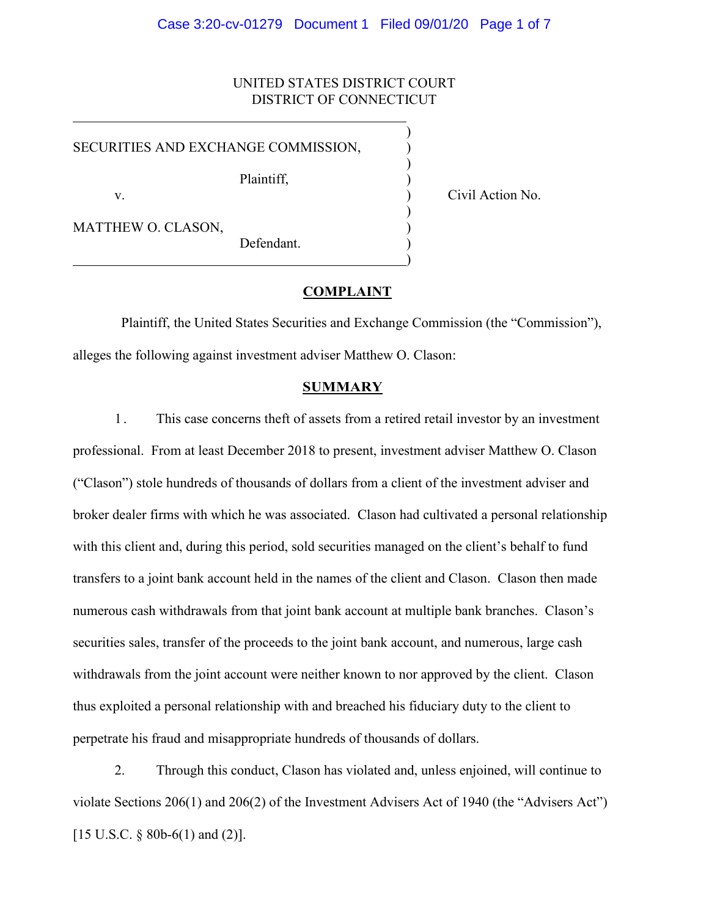### Case 3:20-cv-01279 Document 1 Filed 09/01/20 Page 1 of 7

# UNITED STATES DISTRICT COURT DISTRICT OF CONNECTICUT

)

)

)

)

SECURITIES AND EXCHANGE COMMISSION,

Plaintiff, )

v. (a) Civil Action No.

MATTHEW O. CLASON,

Defendant.

## **COMPLAINT**

Plaintiff, the United States Securities and Exchange Commission (the "Commission"), alleges the following against investment adviser Matthew O. Clason:

### **SUMMARY**

1 . This case concerns theft of assets from a retired retail investor by an investment professional. From at least December 2018 to present, investment adviser Matthew O. Clason ("Clason") stole hundreds of thousands of dollars from a client of the investment adviser and broker dealer firms with which he was associated. Clason had cultivated a personal relationship with this client and, during this period, sold securities managed on the client's behalf to fund transfers to a joint bank account held in the names of the client and Clason. Clason then made numerous cash withdrawals from that joint bank account at multiple bank branches. Clason's securities sales, transfer of the proceeds to the joint bank account, and numerous, large cash withdrawals from the joint account were neither known to nor approved by the client. Clason thus exploited a personal relationship with and breached his fiduciary duty to the client to perpetrate his fraud and misappropriate hundreds of thousands of dollars.

2. Through this conduct, Clason has violated and, unless enjoined, will continue to violate Sections 206(1) and 206(2) of the Investment Advisers Act of 1940 (the "Advisers Act") [15 U.S.C.  $\S$  80b-6(1) and (2)].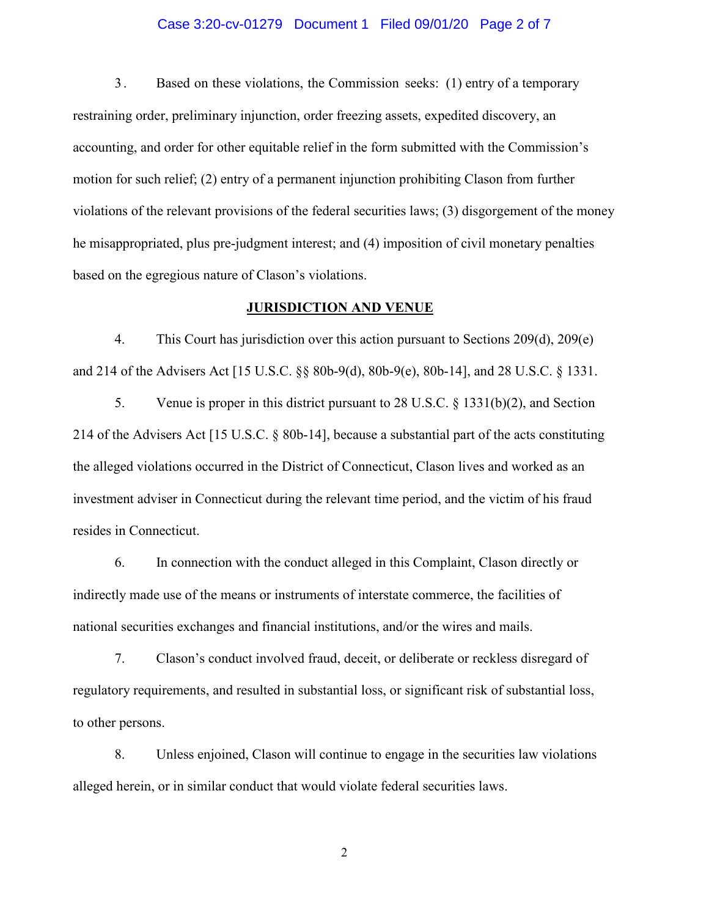### Case 3:20-cv-01279 Document 1 Filed 09/01/20 Page 2 of 7

3 . Based on these violations, the Commission seeks: (1) entry of a temporary restraining order, preliminary injunction, order freezing assets, expedited discovery, an accounting, and order for other equitable relief in the form submitted with the Commission's motion for such relief; (2) entry of a permanent injunction prohibiting Clason from further violations of the relevant provisions of the federal securities laws; (3) disgorgement of the money he misappropriated, plus pre-judgment interest; and (4) imposition of civil monetary penalties based on the egregious nature of Clason's violations.

### **JURISDICTION AND VENUE**

4. This Court has jurisdiction over this action pursuant to Sections 209(d), 209(e) and 214 of the Advisers Act [15 U.S.C. §§ 80b-9(d), 80b-9(e), 80b-14], and 28 U.S.C. § 1331.

5. Venue is proper in this district pursuant to 28 U.S.C. § 1331(b)(2), and Section 214 of the Advisers Act [15 U.S.C. § 80b-14], because a substantial part of the acts constituting the alleged violations occurred in the District of Connecticut, Clason lives and worked as an investment adviser in Connecticut during the relevant time period, and the victim of his fraud resides in Connecticut.

6. In connection with the conduct alleged in this Complaint, Clason directly or indirectly made use of the means or instruments of interstate commerce, the facilities of national securities exchanges and financial institutions, and/or the wires and mails.

7. Clason's conduct involved fraud, deceit, or deliberate or reckless disregard of regulatory requirements, and resulted in substantial loss, or significant risk of substantial loss, to other persons.

8. Unless enjoined, Clason will continue to engage in the securities law violations alleged herein, or in similar conduct that would violate federal securities laws.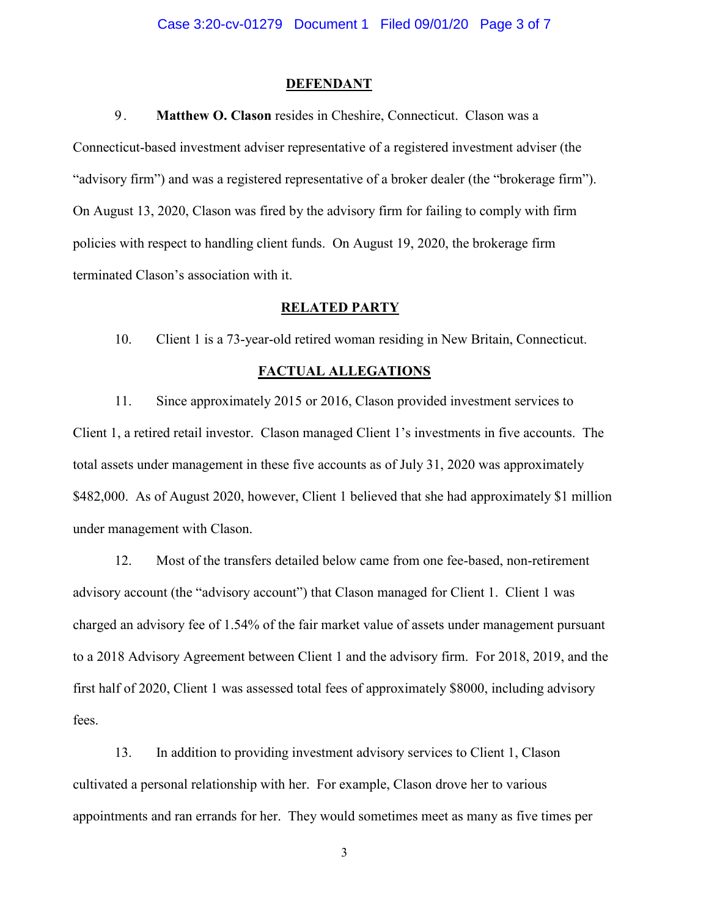### **DEFENDANT**

## 9. **Matthew O. Clason** resides in Cheshire, Connecticut. Clason was a

Connecticut-based investment adviser representative of a registered investment adviser (the "advisory firm") and was a registered representative of a broker dealer (the "brokerage firm"). On August 13, 2020, Clason was fired by the advisory firm for failing to comply with firm policies with respect to handling client funds. On August 19, 2020, the brokerage firm terminated Clason's association with it.

### **RELATED PARTY**

10. Client 1 is a 73-year-old retired woman residing in New Britain, Connecticut.

# **FACTUAL ALLEGATIONS**

11. Since approximately 2015 or 2016, Clason provided investment services to Client 1, a retired retail investor. Clason managed Client 1's investments in five accounts. The total assets under management in these five accounts as of July 31, 2020 was approximately \$482,000. As of August 2020, however, Client 1 believed that she had approximately \$1 million under management with Clason.

12. Most of the transfers detailed below came from one fee-based, non-retirement advisory account (the "advisory account") that Clason managed for Client 1. Client 1 was charged an advisory fee of 1.54% of the fair market value of assets under management pursuant to a 2018 Advisory Agreement between Client 1 and the advisory firm. For 2018, 2019, and the first half of 2020, Client 1 was assessed total fees of approximately \$8000, including advisory fees.

13. In addition to providing investment advisory services to Client 1, Clason cultivated a personal relationship with her. For example, Clason drove her to various appointments and ran errands for her. They would sometimes meet as many as five times per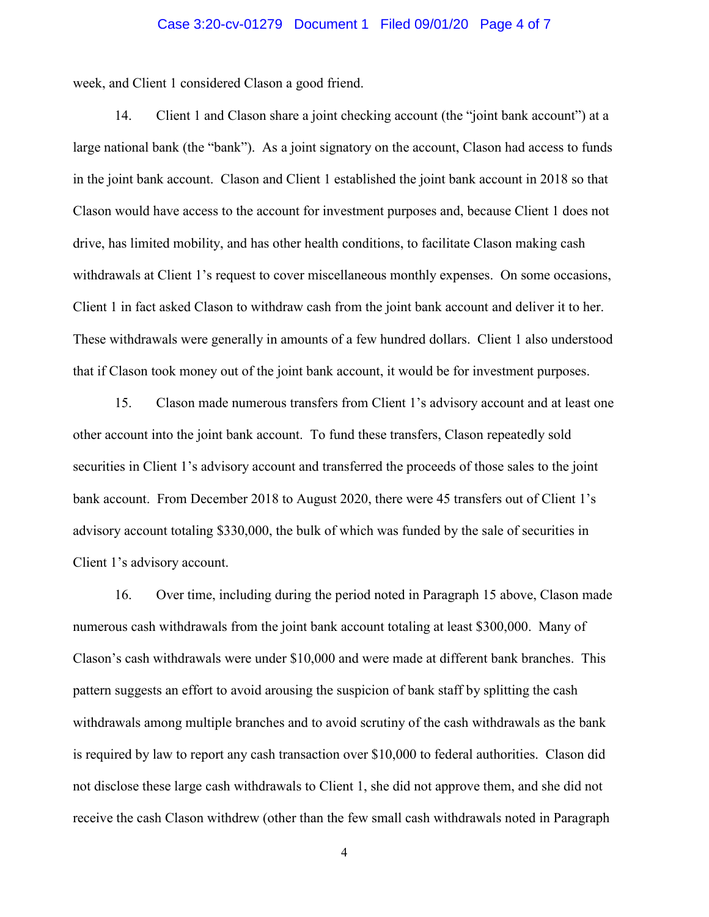### Case 3:20-cv-01279 Document 1 Filed 09/01/20 Page 4 of 7

week, and Client 1 considered Clason a good friend.

14. Client 1 and Clason share a joint checking account (the "joint bank account") at a large national bank (the "bank"). As a joint signatory on the account, Clason had access to funds in the joint bank account. Clason and Client 1 established the joint bank account in 2018 so that Clason would have access to the account for investment purposes and, because Client 1 does not drive, has limited mobility, and has other health conditions, to facilitate Clason making cash withdrawals at Client 1's request to cover miscellaneous monthly expenses. On some occasions, Client 1 in fact asked Clason to withdraw cash from the joint bank account and deliver it to her. These withdrawals were generally in amounts of a few hundred dollars. Client 1 also understood that if Clason took money out of the joint bank account, it would be for investment purposes.

15. Clason made numerous transfers from Client 1's advisory account and at least one other account into the joint bank account. To fund these transfers, Clason repeatedly sold securities in Client 1's advisory account and transferred the proceeds of those sales to the joint bank account. From December 2018 to August 2020, there were 45 transfers out of Client 1's advisory account totaling \$330,000, the bulk of which was funded by the sale of securities in Client 1's advisory account.

16. Over time, including during the period noted in Paragraph 15 above, Clason made numerous cash withdrawals from the joint bank account totaling at least \$300,000. Many of Clason's cash withdrawals were under \$10,000 and were made at different bank branches. This pattern suggests an effort to avoid arousing the suspicion of bank staff by splitting the cash withdrawals among multiple branches and to avoid scrutiny of the cash withdrawals as the bank is required by law to report any cash transaction over \$10,000 to federal authorities. Clason did not disclose these large cash withdrawals to Client 1, she did not approve them, and she did not receive the cash Clason withdrew (other than the few small cash withdrawals noted in Paragraph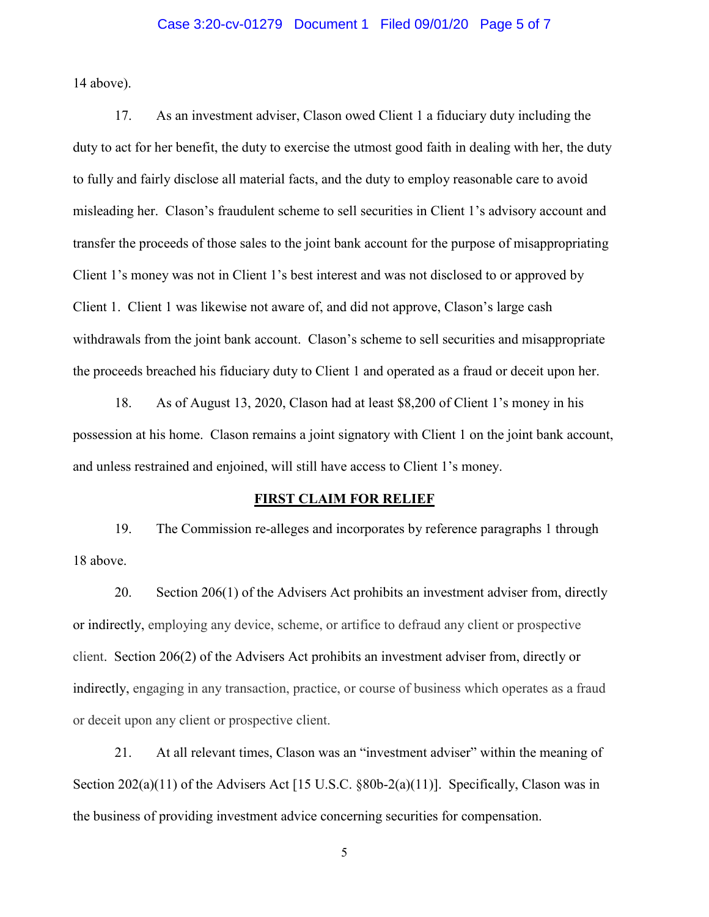### Case 3:20-cv-01279 Document 1 Filed 09/01/20 Page 5 of 7

14 above).

17. As an investment adviser, Clason owed Client 1 a fiduciary duty including the duty to act for her benefit, the duty to exercise the utmost good faith in dealing with her, the duty to fully and fairly disclose all material facts, and the duty to employ reasonable care to avoid misleading her. Clason's fraudulent scheme to sell securities in Client 1's advisory account and transfer the proceeds of those sales to the joint bank account for the purpose of misappropriating Client 1's money was not in Client 1's best interest and was not disclosed to or approved by Client 1. Client 1 was likewise not aware of, and did not approve, Clason's large cash withdrawals from the joint bank account. Clason's scheme to sell securities and misappropriate the proceeds breached his fiduciary duty to Client 1 and operated as a fraud or deceit upon her.

18. As of August 13, 2020, Clason had at least \$8,200 of Client 1's money in his possession at his home. Clason remains a joint signatory with Client 1 on the joint bank account, and unless restrained and enjoined, will still have access to Client 1's money.

### **FIRST CLAIM FOR RELIEF**

19. The Commission re-alleges and incorporates by reference paragraphs 1 through 18 above.

20. Section 206(1) of the Advisers Act prohibits an investment adviser from, directly or indirectly, employing any device, scheme, or artifice to defraud any client or prospective client. Section 206(2) of the Advisers Act prohibits an investment adviser from, directly or indirectly, engaging in any transaction, practice, or course of business which operates as a fraud or deceit upon any client or prospective client.

21. At all relevant times, Clason was an "investment adviser" within the meaning of Section 202(a)(11) of the Advisers Act [15 U.S.C. §80b-2(a)(11)]. Specifically, Clason was in the business of providing investment advice concerning securities for compensation.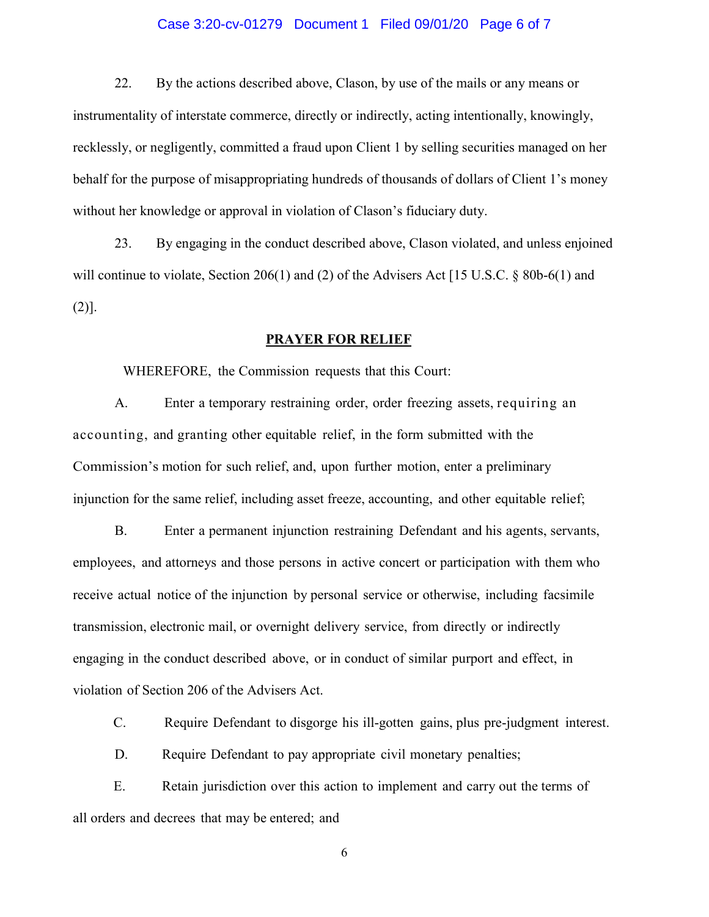### Case 3:20-cv-01279 Document 1 Filed 09/01/20 Page 6 of 7

22. By the actions described above, Clason, by use of the mails or any means or instrumentality of interstate commerce, directly or indirectly, acting intentionally, knowingly, recklessly, or negligently, committed a fraud upon Client 1 by selling securities managed on her behalf for the purpose of misappropriating hundreds of thousands of dollars of Client 1's money without her knowledge or approval in violation of Clason's fiduciary duty.

23. By engaging in the conduct described above, Clason violated, and unless enjoined will continue to violate, Section 206(1) and (2) of the Advisers Act [15 U.S.C.  $\S$  80b-6(1) and (2)].

### **PRAYER FOR RELIEF**

WHEREFORE, the Commission requests that this Court:

A. Enter a temporary restraining order, order freezing assets, requiring an accounting, and granting other equitable relief, in the form submitted with the Commission's motion for such relief, and, upon further motion, enter a preliminary injunction for the same relief, including asset freeze, accounting, and other equitable relief;

B. Enter a permanent injunction restraining Defendant and his agents, servants, employees, and attorneys and those persons in active concert or participation with them who receive actual notice of the injunction by personal service or otherwise, including facsimile transmission, electronic mail, or overnight delivery service, from directly or indirectly engaging in the conduct described above, or in conduct of similar purport and effect, in violation of Section 206 of the Advisers Act.

C. Require Defendant to disgorge his ill-gotten gains, plus pre-judgment interest.

D. Require Defendant to pay appropriate civil monetary penalties;

E. Retain jurisdiction over this action to implement and carry out the terms of all orders and decrees that may be entered; and